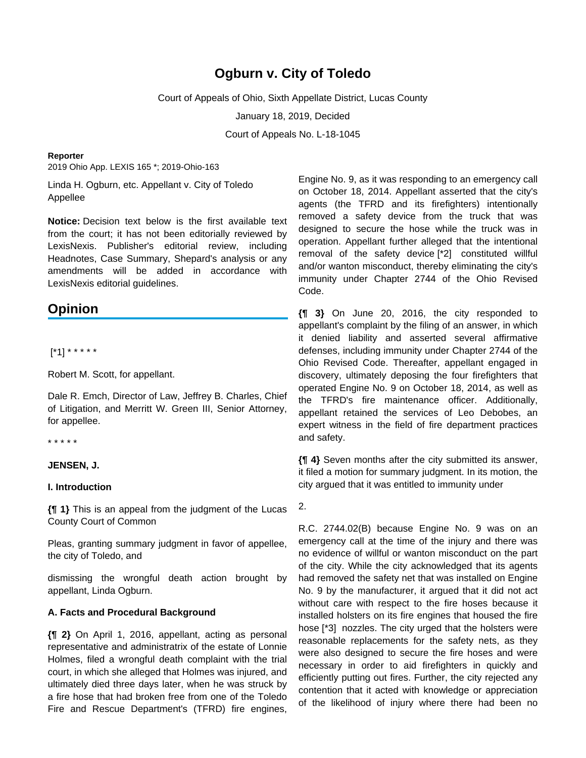# **Ogburn v. City of Toledo**

Court of Appeals of Ohio, Sixth Appellate District, Lucas County

January 18, 2019, Decided

Court of Appeals No. L-18-1045

#### **Reporter**

2019 Ohio App. LEXIS 165 \*; 2019-Ohio-163

Linda H. Ogburn, etc. Appellant v. City of Toledo Appellee

**Notice:** Decision text below is the first available text from the court; it has not been editorially reviewed by LexisNexis. Publisher's editorial review, including Headnotes, Case Summary, Shepard's analysis or any amendments will be added in accordance with LexisNexis editorial guidelines.

# **Opinion**

[\*1] \* \* \* \* \*

Robert M. Scott, for appellant.

Dale R. Emch, Director of Law, Jeffrey B. Charles, Chief of Litigation, and Merritt W. Green III, Senior Attorney, for appellee.

\* \* \* \* \*

### **JENSEN, J.**

#### **I. Introduction**

**{¶ 1}** This is an appeal from the judgment of the Lucas County Court of Common

Pleas, granting summary judgment in favor of appellee, the city of Toledo, and

dismissing the wrongful death action brought by appellant, Linda Ogburn.

### **A. Facts and Procedural Background**

**{¶ 2}** On April 1, 2016, appellant, acting as personal representative and administratrix of the estate of Lonnie Holmes, filed a wrongful death complaint with the trial court, in which she alleged that Holmes was injured, and ultimately died three days later, when he was struck by a fire hose that had broken free from one of the Toledo Fire and Rescue Department's (TFRD) fire engines,

Engine No. 9, as it was responding to an emergency call on October 18, 2014. Appellant asserted that the city's agents (the TFRD and its firefighters) intentionally removed a safety device from the truck that was designed to secure the hose while the truck was in operation. Appellant further alleged that the intentional removal of the safety device [\*2] constituted willful and/or wanton misconduct, thereby eliminating the city's immunity under Chapter 2744 of the Ohio Revised Code.

**{¶ 3}** On June 20, 2016, the city responded to appellant's complaint by the filing of an answer, in which it denied liability and asserted several affirmative defenses, including immunity under Chapter 2744 of the Ohio Revised Code. Thereafter, appellant engaged in discovery, ultimately deposing the four firefighters that operated Engine No. 9 on October 18, 2014, as well as the TFRD's fire maintenance officer. Additionally, appellant retained the services of Leo Debobes, an expert witness in the field of fire department practices and safety.

**{¶ 4}** Seven months after the city submitted its answer, it filed a motion for summary judgment. In its motion, the city argued that it was entitled to immunity under

2.

R.C. 2744.02(B) because Engine No. 9 was on an emergency call at the time of the injury and there was no evidence of willful or wanton misconduct on the part of the city. While the city acknowledged that its agents had removed the safety net that was installed on Engine No. 9 by the manufacturer, it argued that it did not act without care with respect to the fire hoses because it installed holsters on its fire engines that housed the fire hose [\*3] nozzles. The city urged that the holsters were reasonable replacements for the safety nets, as they were also designed to secure the fire hoses and were necessary in order to aid firefighters in quickly and efficiently putting out fires. Further, the city rejected any contention that it acted with knowledge or appreciation of the likelihood of injury where there had been no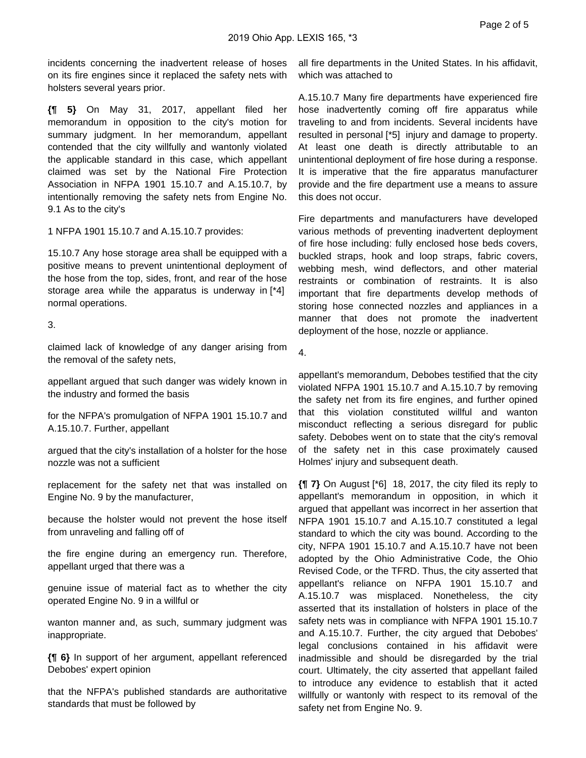incidents concerning the inadvertent release of hoses on its fire engines since it replaced the safety nets with holsters several years prior.

**{¶ 5}** On May 31, 2017, appellant filed her memorandum in opposition to the city's motion for summary judgment. In her memorandum, appellant contended that the city willfully and wantonly violated the applicable standard in this case, which appellant claimed was set by the National Fire Protection Association in NFPA 1901 15.10.7 and A.15.10.7, by intentionally removing the safety nets from Engine No. 9.1 As to the city's

1 NFPA 1901 15.10.7 and A.15.10.7 provides:

15.10.7 Any hose storage area shall be equipped with a positive means to prevent unintentional deployment of the hose from the top, sides, front, and rear of the hose storage area while the apparatus is underway in [\*4] normal operations.

### 3.

claimed lack of knowledge of any danger arising from the removal of the safety nets,

appellant argued that such danger was widely known in the industry and formed the basis

for the NFPA's promulgation of NFPA 1901 15.10.7 and A.15.10.7. Further, appellant

argued that the city's installation of a holster for the hose nozzle was not a sufficient

replacement for the safety net that was installed on Engine No. 9 by the manufacturer,

because the holster would not prevent the hose itself from unraveling and falling off of

the fire engine during an emergency run. Therefore, appellant urged that there was a

genuine issue of material fact as to whether the city operated Engine No. 9 in a willful or

wanton manner and, as such, summary judgment was inappropriate.

**{¶ 6}** In support of her argument, appellant referenced Debobes' expert opinion

that the NFPA's published standards are authoritative standards that must be followed by

all fire departments in the United States. In his affidavit, which was attached to

A.15.10.7 Many fire departments have experienced fire hose inadvertently coming off fire apparatus while traveling to and from incidents. Several incidents have resulted in personal [\*5] injury and damage to property. At least one death is directly attributable to an unintentional deployment of fire hose during a response. It is imperative that the fire apparatus manufacturer provide and the fire department use a means to assure this does not occur.

Fire departments and manufacturers have developed various methods of preventing inadvertent deployment of fire hose including: fully enclosed hose beds covers, buckled straps, hook and loop straps, fabric covers, webbing mesh, wind deflectors, and other material restraints or combination of restraints. It is also important that fire departments develop methods of storing hose connected nozzles and appliances in a manner that does not promote the inadvertent deployment of the hose, nozzle or appliance.

4.

appellant's memorandum, Debobes testified that the city violated NFPA 1901 15.10.7 and A.15.10.7 by removing the safety net from its fire engines, and further opined that this violation constituted willful and wanton misconduct reflecting a serious disregard for public safety. Debobes went on to state that the city's removal of the safety net in this case proximately caused Holmes' injury and subsequent death.

**{¶ 7}** On August [\*6] 18, 2017, the city filed its reply to appellant's memorandum in opposition, in which it argued that appellant was incorrect in her assertion that NFPA 1901 15.10.7 and A.15.10.7 constituted a legal standard to which the city was bound. According to the city, NFPA 1901 15.10.7 and A.15.10.7 have not been adopted by the Ohio Administrative Code, the Ohio Revised Code, or the TFRD. Thus, the city asserted that appellant's reliance on NFPA 1901 15.10.7 and A.15.10.7 was misplaced. Nonetheless, the city asserted that its installation of holsters in place of the safety nets was in compliance with NFPA 1901 15.10.7 and A.15.10.7. Further, the city argued that Debobes' legal conclusions contained in his affidavit were inadmissible and should be disregarded by the trial court. Ultimately, the city asserted that appellant failed to introduce any evidence to establish that it acted willfully or wantonly with respect to its removal of the safety net from Engine No. 9.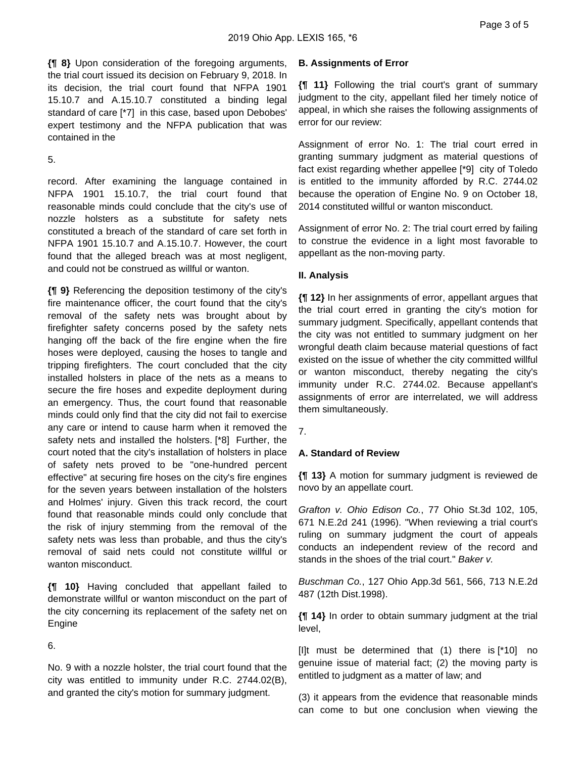**{¶ 8}** Upon consideration of the foregoing arguments, the trial court issued its decision on February 9, 2018. In its decision, the trial court found that NFPA 1901 15.10.7 and A.15.10.7 constituted a binding legal standard of care [\*7] in this case, based upon Debobes' expert testimony and the NFPA publication that was contained in the

5.

record. After examining the language contained in NFPA 1901 15.10.7, the trial court found that reasonable minds could conclude that the city's use of nozzle holsters as a substitute for safety nets constituted a breach of the standard of care set forth in NFPA 1901 15.10.7 and A.15.10.7. However, the court found that the alleged breach was at most negligent, and could not be construed as willful or wanton.

**{¶ 9}** Referencing the deposition testimony of the city's fire maintenance officer, the court found that the city's removal of the safety nets was brought about by firefighter safety concerns posed by the safety nets hanging off the back of the fire engine when the fire hoses were deployed, causing the hoses to tangle and tripping firefighters. The court concluded that the city installed holsters in place of the nets as a means to secure the fire hoses and expedite deployment during an emergency. Thus, the court found that reasonable minds could only find that the city did not fail to exercise any care or intend to cause harm when it removed the safety nets and installed the holsters. [\*8] Further, the court noted that the city's installation of holsters in place of safety nets proved to be "one-hundred percent effective" at securing fire hoses on the city's fire engines for the seven years between installation of the holsters and Holmes' injury. Given this track record, the court found that reasonable minds could only conclude that the risk of injury stemming from the removal of the safety nets was less than probable, and thus the city's removal of said nets could not constitute willful or wanton misconduct.

**{¶ 10}** Having concluded that appellant failed to demonstrate willful or wanton misconduct on the part of the city concerning its replacement of the safety net on Engine

6.

No. 9 with a nozzle holster, the trial court found that the city was entitled to immunity under R.C. 2744.02(B), and granted the city's motion for summary judgment.

# **B. Assignments of Error**

**{¶ 11}** Following the trial court's grant of summary judgment to the city, appellant filed her timely notice of appeal, in which she raises the following assignments of error for our review:

Assignment of error No. 1: The trial court erred in granting summary judgment as material questions of fact exist regarding whether appellee [\*9] city of Toledo is entitled to the immunity afforded by R.C. 2744.02 because the operation of Engine No. 9 on October 18, 2014 constituted willful or wanton misconduct.

Assignment of error No. 2: The trial court erred by failing to construe the evidence in a light most favorable to appellant as the non-moving party.

# **II. Analysis**

**{¶ 12}** In her assignments of error, appellant argues that the trial court erred in granting the city's motion for summary judgment. Specifically, appellant contends that the city was not entitled to summary judgment on her wrongful death claim because material questions of fact existed on the issue of whether the city committed willful or wanton misconduct, thereby negating the city's immunity under R.C. 2744.02. Because appellant's assignments of error are interrelated, we will address them simultaneously.

7.

## **A. Standard of Review**

**{¶ 13}** A motion for summary judgment is reviewed de novo by an appellate court.

Grafton v. Ohio Edison Co., 77 Ohio St.3d 102, 105, 671 N.E.2d 241 (1996). "When reviewing a trial court's ruling on summary judgment the court of appeals conducts an independent review of the record and stands in the shoes of the trial court." Baker v.

Buschman Co., 127 Ohio App.3d 561, 566, 713 N.E.2d 487 (12th Dist.1998).

**{¶ 14}** In order to obtain summary judgment at the trial level,

[I]t must be determined that (1) there is [\*10] no genuine issue of material fact; (2) the moving party is entitled to judgment as a matter of law; and

(3) it appears from the evidence that reasonable minds can come to but one conclusion when viewing the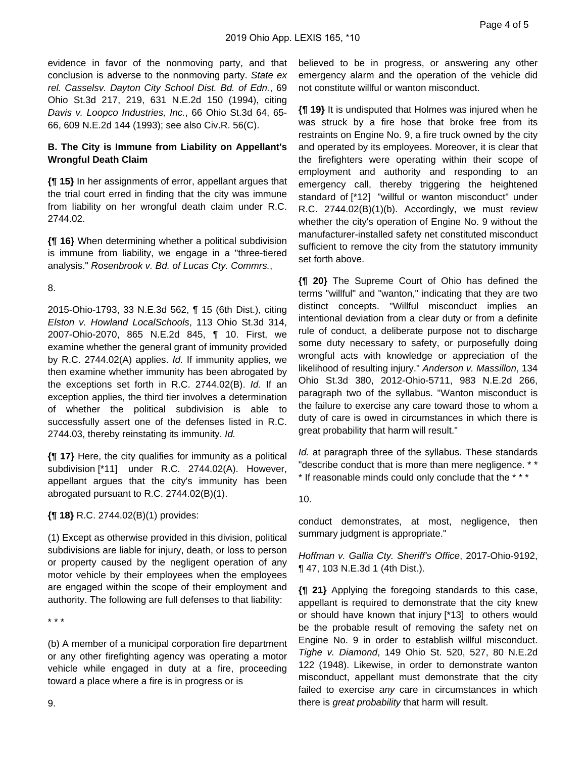evidence in favor of the nonmoving party, and that conclusion is adverse to the nonmoving party. State ex rel. Casselsv. Dayton City School Dist. Bd. of Edn., 69 Ohio St.3d 217, 219, 631 N.E.2d 150 (1994), citing Davis v. Loopco Industries, Inc., 66 Ohio St.3d 64, 65- 66, 609 N.E.2d 144 (1993); see also Civ.R. 56(C).

## **B. The City is Immune from Liability on Appellant's Wrongful Death Claim**

**{¶ 15}** In her assignments of error, appellant argues that the trial court erred in finding that the city was immune from liability on her wrongful death claim under R.C. 2744.02.

**{¶ 16}** When determining whether a political subdivision is immune from liability, we engage in a "three-tiered analysis." Rosenbrook v. Bd. of Lucas Cty. Commrs.,

8.

2015-Ohio-1793, 33 N.E.3d 562, ¶ 15 (6th Dist.), citing Elston v. Howland LocalSchools, 113 Ohio St.3d 314, 2007-Ohio-2070, 865 N.E.2d 845, ¶ 10. First, we examine whether the general grant of immunity provided by R.C. 2744.02(A) applies. Id. If immunity applies, we then examine whether immunity has been abrogated by the exceptions set forth in R.C. 2744.02(B). Id. If an exception applies, the third tier involves a determination of whether the political subdivision is able to successfully assert one of the defenses listed in R.C. 2744.03, thereby reinstating its immunity. Id.

**{¶ 17}** Here, the city qualifies for immunity as a political subdivision [\*11] under R.C. 2744.02(A). However, appellant argues that the city's immunity has been abrogated pursuant to R.C. 2744.02(B)(1).

**{¶ 18}** R.C. 2744.02(B)(1) provides:

(1) Except as otherwise provided in this division, political subdivisions are liable for injury, death, or loss to person or property caused by the negligent operation of any motor vehicle by their employees when the employees are engaged within the scope of their employment and authority. The following are full defenses to that liability:

\* \* \*

(b) A member of a municipal corporation fire department or any other firefighting agency was operating a motor vehicle while engaged in duty at a fire, proceeding toward a place where a fire is in progress or is

believed to be in progress, or answering any other emergency alarm and the operation of the vehicle did not constitute willful or wanton misconduct.

**{¶ 19}** It is undisputed that Holmes was injured when he was struck by a fire hose that broke free from its restraints on Engine No. 9, a fire truck owned by the city and operated by its employees. Moreover, it is clear that the firefighters were operating within their scope of employment and authority and responding to an emergency call, thereby triggering the heightened standard of [\*12] "willful or wanton misconduct" under R.C. 2744.02(B)(1)(b). Accordingly, we must review whether the city's operation of Engine No. 9 without the manufacturer-installed safety net constituted misconduct sufficient to remove the city from the statutory immunity set forth above.

**{¶ 20}** The Supreme Court of Ohio has defined the terms "willful" and "wanton," indicating that they are two distinct concepts. "Willful misconduct implies an intentional deviation from a clear duty or from a definite rule of conduct, a deliberate purpose not to discharge some duty necessary to safety, or purposefully doing wrongful acts with knowledge or appreciation of the likelihood of resulting injury." Anderson v. Massillon, 134 Ohio St.3d 380, 2012-Ohio-5711, 983 N.E.2d 266, paragraph two of the syllabus. "Wanton misconduct is the failure to exercise any care toward those to whom a duty of care is owed in circumstances in which there is great probability that harm will result."

Id. at paragraph three of the syllabus. These standards "describe conduct that is more than mere negligence. \* \* \* If reasonable minds could only conclude that the \* \* \*

10.

conduct demonstrates, at most, negligence, then summary judgment is appropriate."

Hoffman v. Gallia Cty. Sheriff's Office, 2017-Ohio-9192, ¶ 47, 103 N.E.3d 1 (4th Dist.).

**{¶ 21}** Applying the foregoing standards to this case, appellant is required to demonstrate that the city knew or should have known that injury [\*13] to others would be the probable result of removing the safety net on Engine No. 9 in order to establish willful misconduct. Tighe v. Diamond, 149 Ohio St. 520, 527, 80 N.E.2d 122 (1948). Likewise, in order to demonstrate wanton misconduct, appellant must demonstrate that the city failed to exercise any care in circumstances in which there is *great probability* that harm will result.